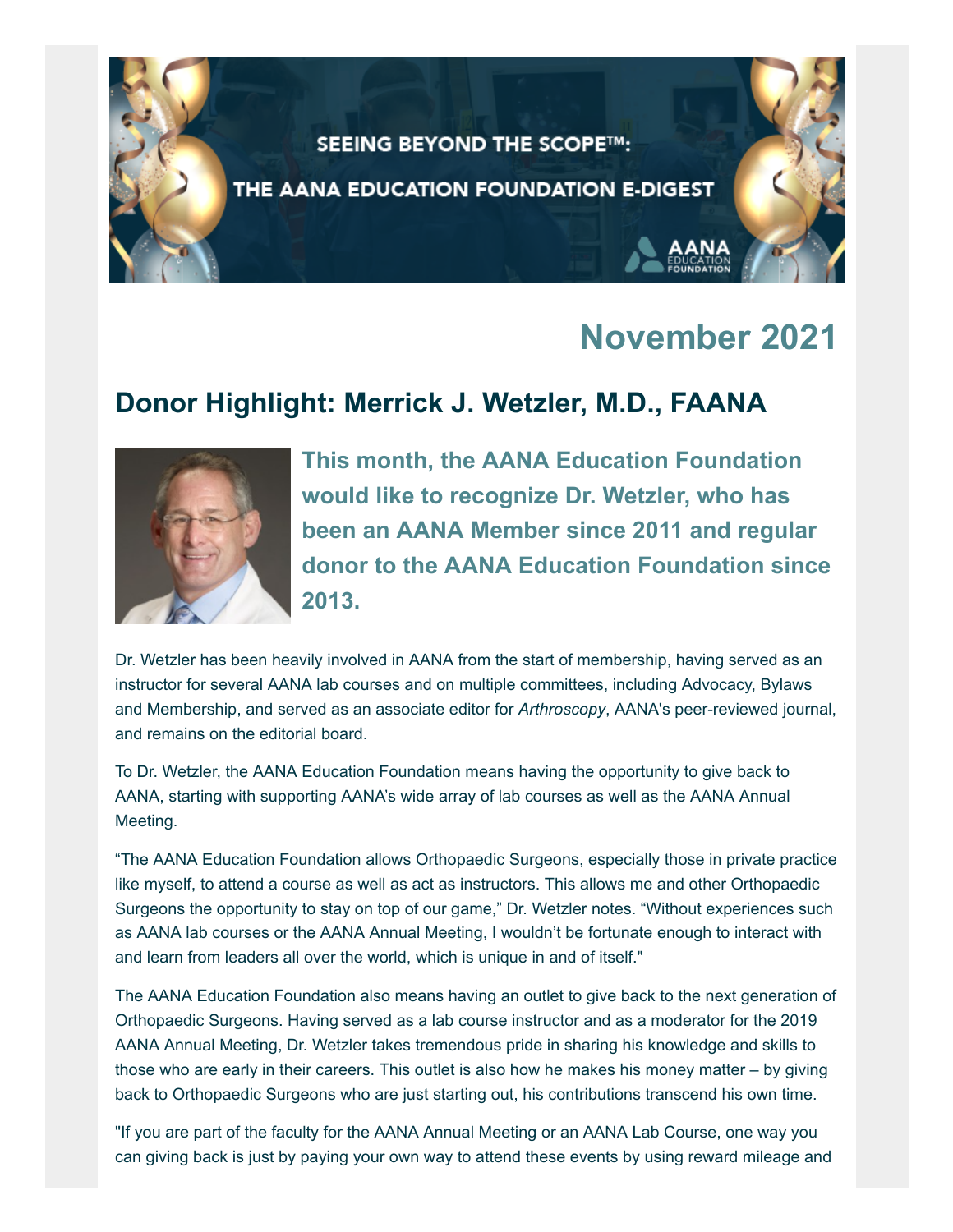

### **November 2021**

### **Donor Highlight: Merrick J. Wetzler, M.D., FAANA**



**This month, the AANA Education Foundation would like to recognize Dr. Wetzler, who has been an AANA Member since 2011 and regular donor to the AANA Education Foundation since 2013.**

Dr. Wetzler has been heavily involved in AANA from the start of membership, having served as an instructor for several AANA lab courses and on multiple committees, including Advocacy, Bylaws and Membership, and served as an associate editor for *Arthroscopy*, AANA's peer-reviewed journal, and remains on the editorial board.

To Dr. Wetzler, the AANA Education Foundation means having the opportunity to give back to AANA, starting with supporting AANA's wide array of lab courses as well as the AANA Annual Meeting.

"The AANA Education Foundation allows Orthopaedic Surgeons, especially those in private practice like myself, to attend a course as well as act as instructors. This allows me and other Orthopaedic Surgeons the opportunity to stay on top of our game," Dr. Wetzler notes. "Without experiences such as AANA lab courses or the AANA Annual Meeting, I wouldn't be fortunate enough to interact with and learn from leaders all over the world, which is unique in and of itself."

The AANA Education Foundation also means having an outlet to give back to the next generation of Orthopaedic Surgeons. Having served as a lab course instructor and as a moderator for the 2019 AANA Annual Meeting, Dr. Wetzler takes tremendous pride in sharing his knowledge and skills to those who are early in their careers. This outlet is also how he makes his money matter – by giving back to Orthopaedic Surgeons who are just starting out, his contributions transcend his own time.

"If you are part of the faculty for the AANA Annual Meeting or an AANA Lab Course, one way you can giving back is just by paying your own way to attend these events by using reward mileage and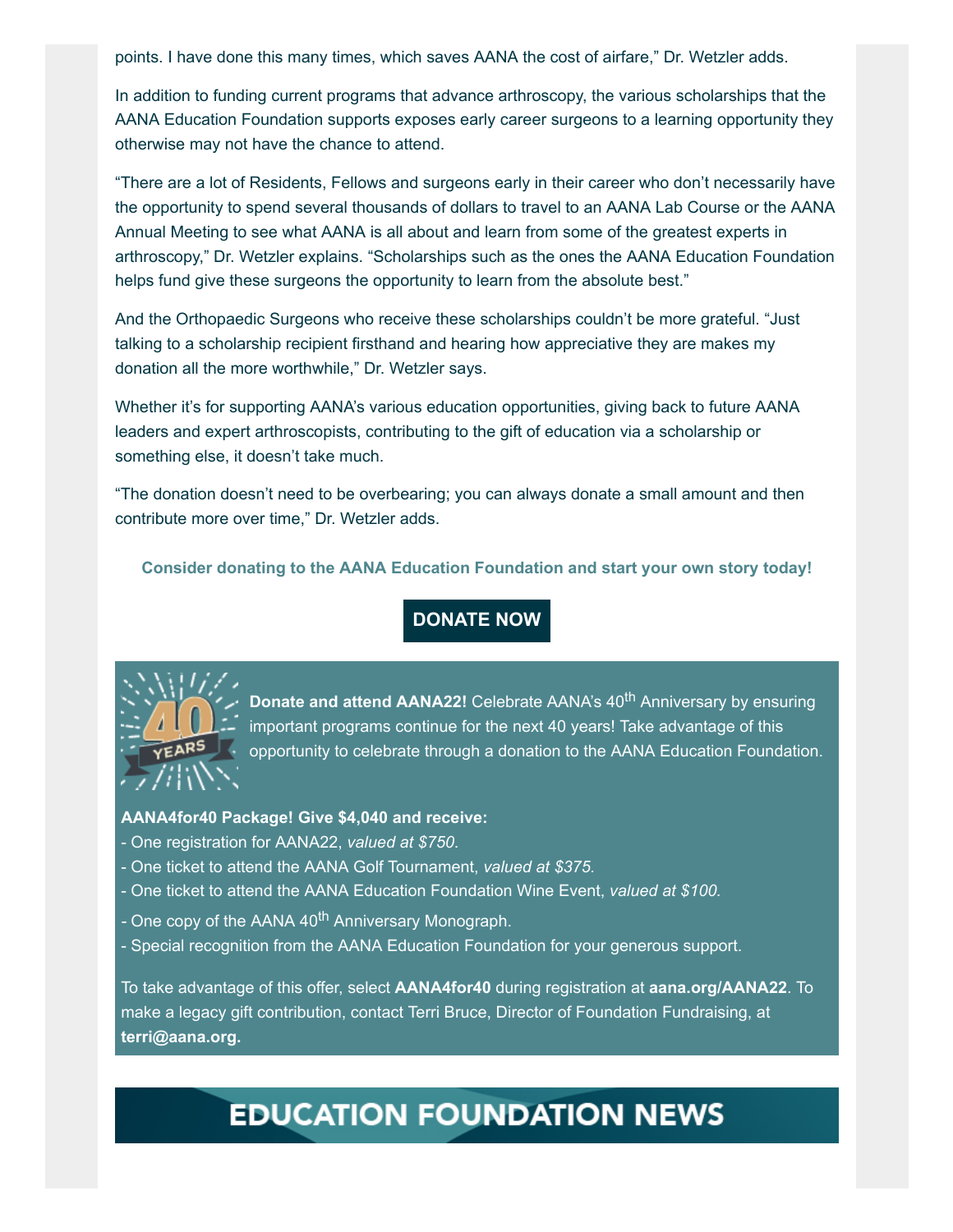points. I have done this many times, which saves AANA the cost of airfare," Dr. Wetzler adds.

In addition to funding current programs that advance arthroscopy, the various scholarships that the AANA Education Foundation supports exposes early career surgeons to a learning opportunity they otherwise may not have the chance to attend.

"There are a lot of Residents, Fellows and surgeons early in their career who don't necessarily have the opportunity to spend several thousands of dollars to travel to an AANA Lab Course or the AANA Annual Meeting to see what AANA is all about and learn from some of the greatest experts in arthroscopy," Dr. Wetzler explains. "Scholarships such as the ones the AANA Education Foundation helps fund give these surgeons the opportunity to learn from the absolute best."

And the Orthopaedic Surgeons who receive these scholarships couldn't be more grateful. "Just talking to a scholarship recipient firsthand and hearing how appreciative they are makes my donation all the more worthwhile," Dr. Wetzler says.

Whether it's for supporting AANA's various education opportunities, giving back to future AANA leaders and expert arthroscopists, contributing to the gift of education via a scholarship or something else, it doesn't take much.

"The donation doesn't need to be overbearing; you can always donate a small amount and then contribute more over time," Dr. Wetzler adds.

**Consider donating to the AANA Education Foundation and start your own story today!**

**[DONATE NOW](https://www.aana.org/aanaimis/Shared_Content/Fundraising/givenow-general.aspx?ItemId=40thanniv&WebsiteKey=10f6eed0-bcab-4019-8f57-18dad8aaf2d7)**



**Donate and attend AANA22!** Celebrate AANA's 40<sup>th</sup> Anniversary by ensuring important programs continue for the next 40 years! Take advantage of this opportunity to celebrate through a donation to the AANA Education Foundation.

#### **AANA4for40 Package! Give \$4,040 and receive:**

- One registration for AANA22, *valued at \$750*.
- One ticket to attend the AANA Golf Tournament, *valued at \$375.*
- One ticket to attend the AANA Education Foundation Wine Event, *valued at \$100.*
- One copy of the AANA 40<sup>th</sup> Anniversary Monograph.
- Special recognition from the AANA Education Foundation for your generous support.

To take advantage of this offer, select **AANA4for40** during registration at **[aana.org/AANA22](https://www.aana.org/aanaimis/annualmeeting)**. To make a legacy gift contribution, contact Terri Bruce, Director of Foundation Fundraising, at **[terri@aana.org.](mailto:terri@aana.org?subject=AANA4for40%20Package)**

## **EDUCATION FOUNDATION NEWS**